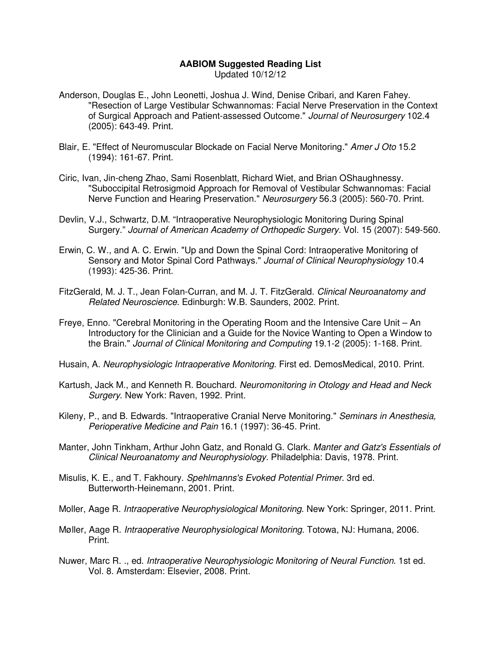## **AABIOM Suggested Reading List**

- Updated 10/12/12
- Anderson, Douglas E., John Leonetti, Joshua J. Wind, Denise Cribari, and Karen Fahey. "Resection of Large Vestibular Schwannomas: Facial Nerve Preservation in the Context of Surgical Approach and Patient-assessed Outcome." Journal of Neurosurgery 102.4 (2005): 643-49. Print.
- Blair, E. "Effect of Neuromuscular Blockade on Facial Nerve Monitoring." Amer J Oto 15.2 (1994): 161-67. Print.
- Ciric, Ivan, Jin-cheng Zhao, Sami Rosenblatt, Richard Wiet, and Brian OShaughnessy. "Suboccipital Retrosigmoid Approach for Removal of Vestibular Schwannomas: Facial Nerve Function and Hearing Preservation." Neurosurgery 56.3 (2005): 560-70. Print.
- Devlin, V.J., Schwartz, D.M. "Intraoperative Neurophysiologic Monitoring During Spinal Surgery." Journal of American Academy of Orthopedic Surgery. Vol. 15 (2007): 549-560.
- Erwin, C. W., and A. C. Erwin. "Up and Down the Spinal Cord: Intraoperative Monitoring of Sensory and Motor Spinal Cord Pathways." Journal of Clinical Neurophysiology 10.4 (1993): 425-36. Print.
- FitzGerald, M. J. T., Jean Folan-Curran, and M. J. T. FitzGerald. Clinical Neuroanatomy and Related Neuroscience. Edinburgh: W.B. Saunders, 2002. Print.
- Freye, Enno. "Cerebral Monitoring in the Operating Room and the Intensive Care Unit An Introductory for the Clinician and a Guide for the Novice Wanting to Open a Window to the Brain." Journal of Clinical Monitoring and Computing 19.1-2 (2005): 1-168. Print.
- Husain, A. Neurophysiologic Intraoperative Monitoring. First ed. DemosMedical, 2010. Print.
- Kartush, Jack M., and Kenneth R. Bouchard. Neuromonitoring in Otology and Head and Neck Surgery. New York: Raven, 1992. Print.
- Kileny, P., and B. Edwards. "Intraoperative Cranial Nerve Monitoring." Seminars in Anesthesia, Perioperative Medicine and Pain 16.1 (1997): 36-45. Print.
- Manter, John Tinkham, Arthur John Gatz, and Ronald G. Clark. Manter and Gatz's Essentials of Clinical Neuroanatomy and Neurophysiology. Philadelphia: Davis, 1978. Print.
- Misulis, K. E., and T. Fakhoury. Spehlmanns's Evoked Potential Primer. 3rd ed. Butterworth-Heinemann, 2001. Print.
- Moller, Aage R. Intraoperative Neurophysiological Monitoring. New York: Springer, 2011. Print.
- Møller, Aage R. Intraoperative Neurophysiological Monitoring. Totowa, NJ: Humana, 2006. Print.
- Nuwer, Marc R. ., ed. Intraoperative Neurophysiologic Monitoring of Neural Function. 1st ed. Vol. 8. Amsterdam: Elsevier, 2008. Print.